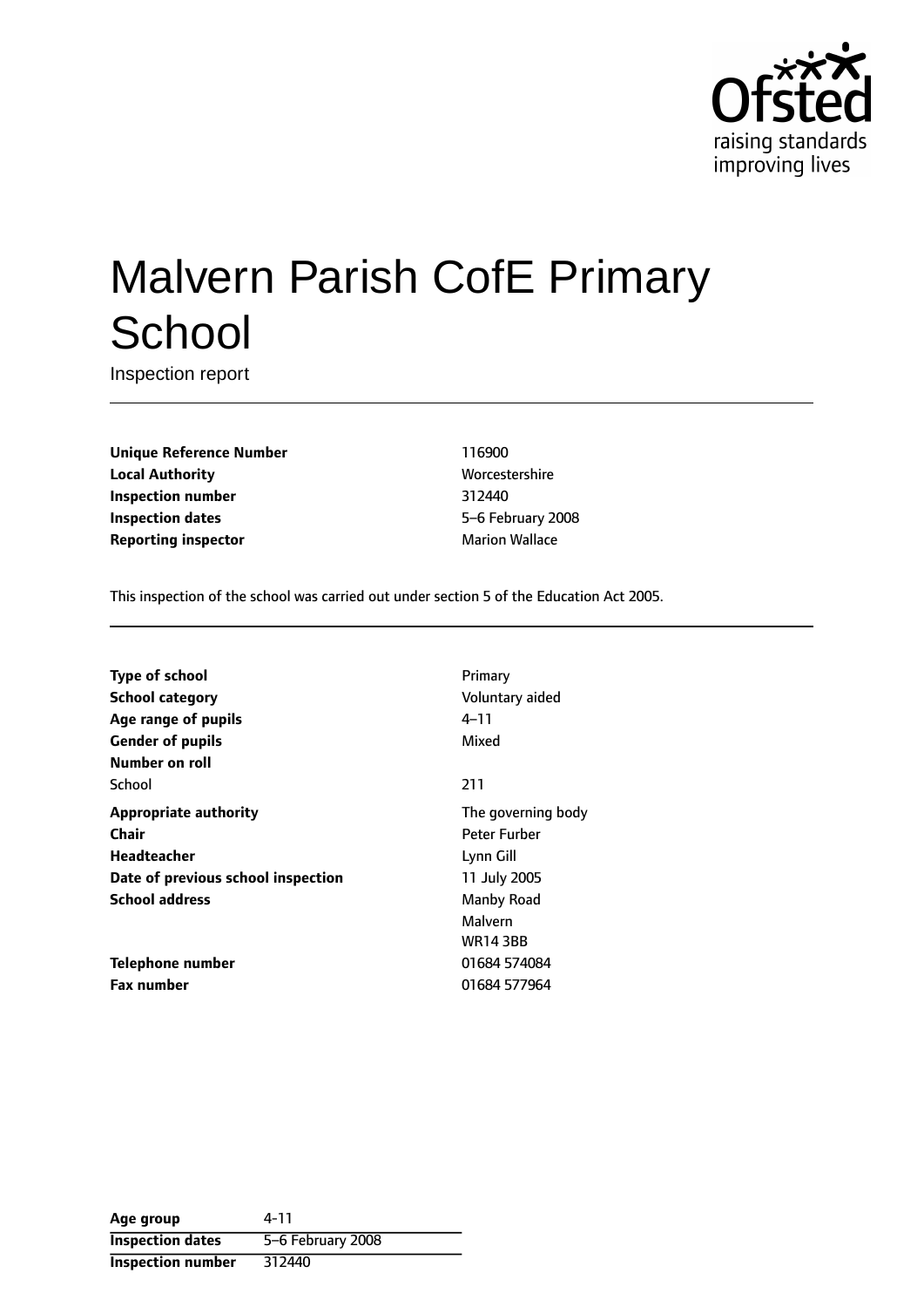

# Malvern Parish CofE Primary **School**

Inspection report

**Unique Reference Number** 116900 **Local Authority More** Worcestershire **Inspection number** 312440 **Inspection dates** 5-6 February 2008 **Reporting inspector** Marion Wallace

This inspection of the school was carried out under section 5 of the Education Act 2005.

| <b>Type of school</b>              | Primary            |
|------------------------------------|--------------------|
| <b>School category</b>             | Voluntary aided    |
| Age range of pupils                | 4–11               |
| <b>Gender of pupils</b>            | Mixed              |
| Number on roll                     |                    |
| School                             | 211                |
| <b>Appropriate authority</b>       | The governing body |
| Chair                              | Peter Furber       |
| <b>Headteacher</b>                 | Lynn Gill          |
| Date of previous school inspection | 11 July 2005       |
| <b>School address</b>              | Manby Road         |
|                                    | Malvern            |
|                                    | <b>WR14 3BB</b>    |
| Telephone number                   | 01684 574084       |
| <b>Fax number</b>                  | 01684 577964       |

| Age group               | 4-11              |
|-------------------------|-------------------|
| <b>Inspection dates</b> | 5-6 February 2008 |
| Inspection number       | 312440            |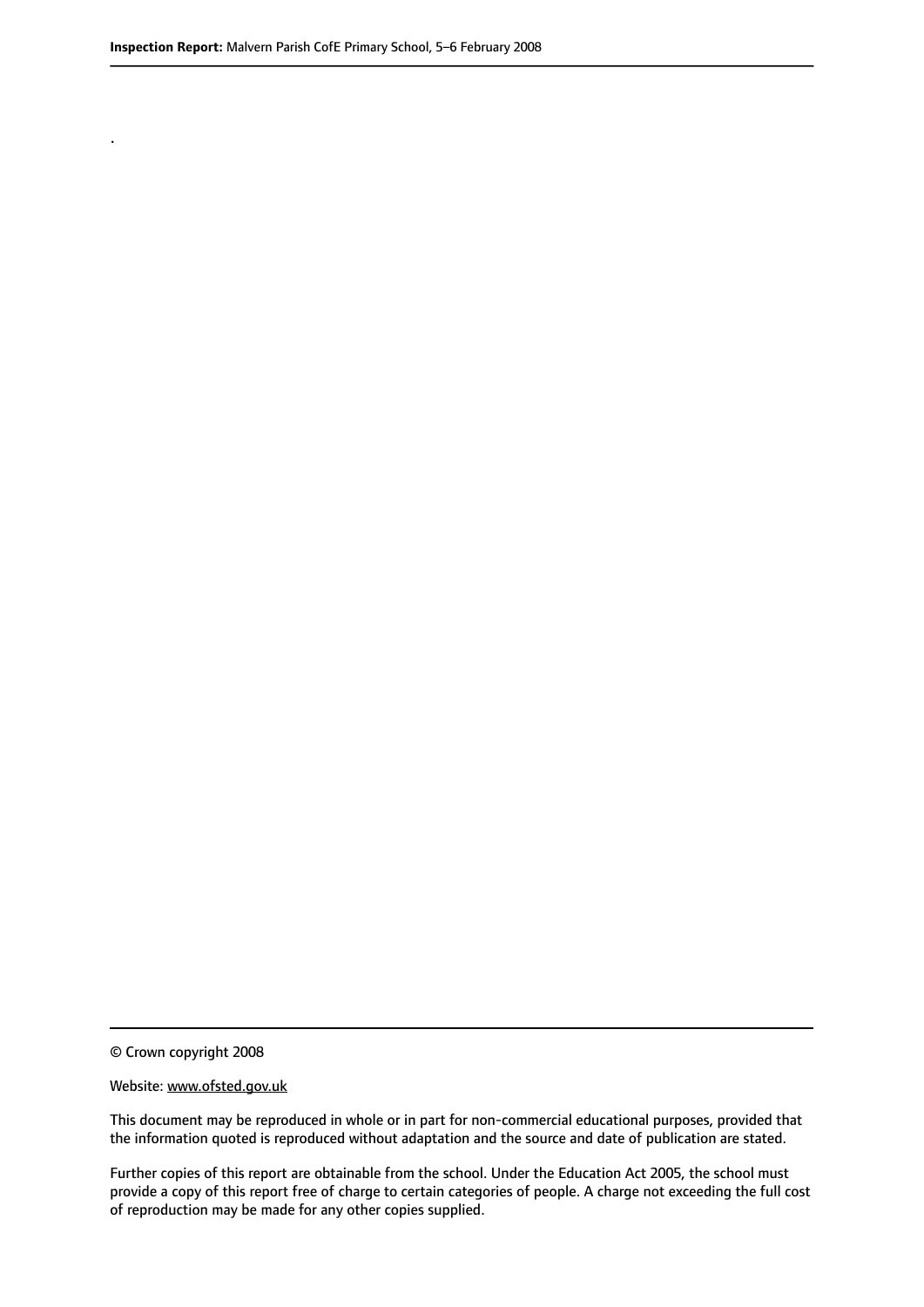.

© Crown copyright 2008

#### Website: www.ofsted.gov.uk

This document may be reproduced in whole or in part for non-commercial educational purposes, provided that the information quoted is reproduced without adaptation and the source and date of publication are stated.

Further copies of this report are obtainable from the school. Under the Education Act 2005, the school must provide a copy of this report free of charge to certain categories of people. A charge not exceeding the full cost of reproduction may be made for any other copies supplied.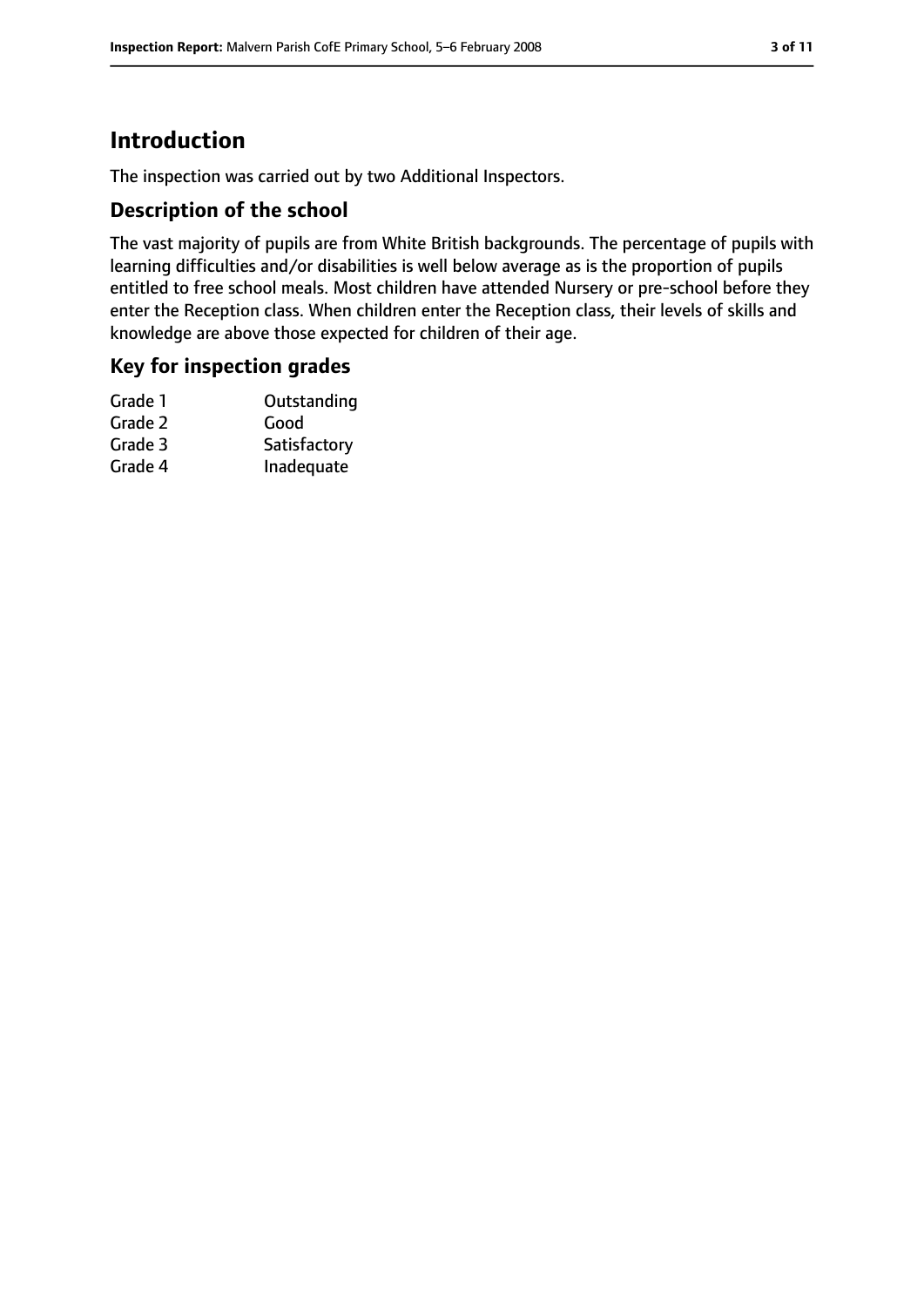# **Introduction**

The inspection was carried out by two Additional Inspectors.

# **Description of the school**

The vast majority of pupils are from White British backgrounds. The percentage of pupils with learning difficulties and/or disabilities is well below average as is the proportion of pupils entitled to free school meals. Most children have attended Nursery or pre-school before they enter the Reception class. When children enter the Reception class, their levels of skills and knowledge are above those expected for children of their age.

# **Key for inspection grades**

| Outstanding  |
|--------------|
| Good         |
| Satisfactory |
| Inadequate   |
|              |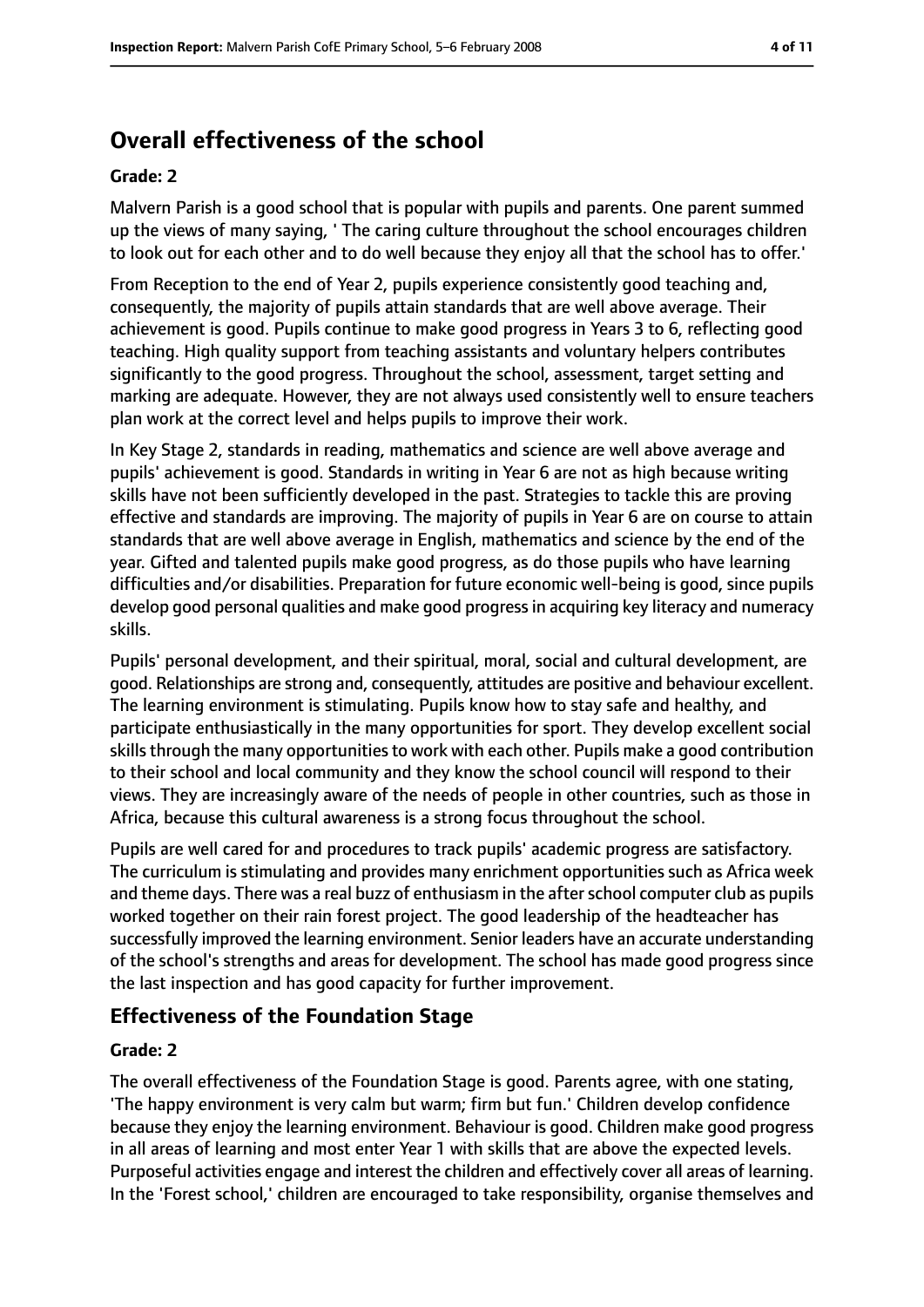# **Overall effectiveness of the school**

#### **Grade: 2**

Malvern Parish is a good school that is popular with pupils and parents. One parent summed up the views of many saying, ' The caring culture throughout the school encourages children to look out for each other and to do well because they enjoy all that the school has to offer.'

From Reception to the end of Year 2, pupils experience consistently good teaching and, consequently, the majority of pupils attain standards that are well above average. Their achievement is good. Pupils continue to make good progress in Years 3 to 6, reflecting good teaching. High quality support from teaching assistants and voluntary helpers contributes significantly to the good progress. Throughout the school, assessment, target setting and marking are adequate. However, they are not always used consistently well to ensure teachers plan work at the correct level and helps pupils to improve their work.

In Key Stage 2, standards in reading, mathematics and science are well above average and pupils' achievement is good. Standards in writing in Year 6 are not as high because writing skills have not been sufficiently developed in the past. Strategies to tackle this are proving effective and standards are improving. The majority of pupils in Year 6 are on course to attain standards that are well above average in English, mathematics and science by the end of the year. Gifted and talented pupils make good progress, as do those pupils who have learning difficulties and/or disabilities. Preparation for future economic well-being is good, since pupils develop good personal qualities and make good progressin acquiring key literacy and numeracy skills.

Pupils' personal development, and their spiritual, moral, social and cultural development, are good. Relationships are strong and, consequently, attitudes are positive and behaviour excellent. The learning environment is stimulating. Pupils know how to stay safe and healthy, and participate enthusiastically in the many opportunities for sport. They develop excellent social skills through the many opportunities to work with each other. Pupils make a good contribution to their school and local community and they know the school council will respond to their views. They are increasingly aware of the needs of people in other countries, such as those in Africa, because this cultural awareness is a strong focus throughout the school.

Pupils are well cared for and procedures to track pupils' academic progress are satisfactory. The curriculum is stimulating and provides many enrichment opportunities such as Africa week and theme days. There was a real buzz of enthusiasm in the after school computer club as pupils worked together on their rain forest project. The good leadership of the headteacher has successfully improved the learning environment. Senior leaders have an accurate understanding of the school's strengths and areas for development. The school has made good progress since the last inspection and has good capacity for further improvement.

## **Effectiveness of the Foundation Stage**

#### **Grade: 2**

The overall effectiveness of the Foundation Stage is good. Parents agree, with one stating, 'The happy environment is very calm but warm; firm but fun.' Children develop confidence because they enjoy the learning environment. Behaviour is good. Children make good progress in all areas of learning and most enter Year 1 with skills that are above the expected levels. Purposeful activities engage and interest the children and effectively cover all areas of learning. In the 'Forest school,' children are encouraged to take responsibility, organise themselves and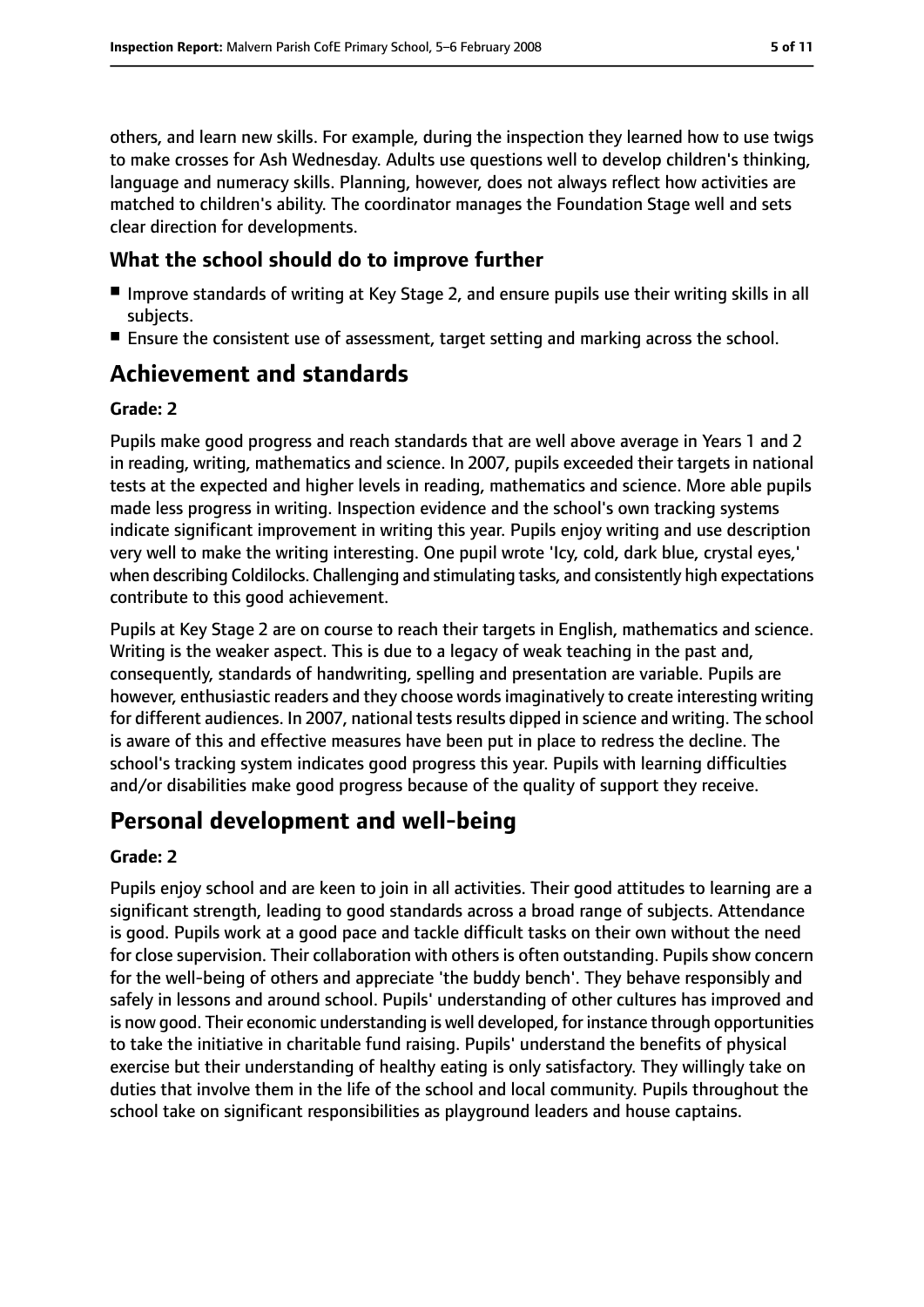others, and learn new skills. For example, during the inspection they learned how to use twigs to make crosses for Ash Wednesday. Adults use questions well to develop children's thinking, language and numeracy skills. Planning, however, does not always reflect how activities are matched to children's ability. The coordinator manages the Foundation Stage well and sets clear direction for developments.

### **What the school should do to improve further**

- Improve standards of writing at Key Stage 2, and ensure pupils use their writing skills in all subjects.
- Ensure the consistent use of assessment, target setting and marking across the school.

# **Achievement and standards**

#### **Grade: 2**

Pupils make good progress and reach standards that are well above average in Years 1 and 2 in reading, writing, mathematics and science. In 2007, pupils exceeded their targets in national tests at the expected and higher levels in reading, mathematics and science. More able pupils made less progress in writing. Inspection evidence and the school's own tracking systems indicate significant improvement in writing this year. Pupils enjoy writing and use description very well to make the writing interesting. One pupil wrote 'Icy, cold, dark blue, crystal eyes,' when describing Coldilocks. Challenging and stimulating tasks, and consistently high expectations contribute to this good achievement.

Pupils at Key Stage 2 are on course to reach their targets in English, mathematics and science. Writing is the weaker aspect. This is due to a legacy of weak teaching in the past and, consequently, standards of handwriting, spelling and presentation are variable. Pupils are however, enthusiastic readers and they choose words imaginatively to create interesting writing for different audiences. In 2007, national tests results dipped in science and writing. The school is aware of this and effective measures have been put in place to redress the decline. The school's tracking system indicates good progress this year. Pupils with learning difficulties and/or disabilities make good progress because of the quality of support they receive.

# **Personal development and well-being**

#### **Grade: 2**

Pupils enjoy school and are keen to join in all activities. Their good attitudes to learning are a significant strength, leading to good standards across a broad range of subjects. Attendance is good. Pupils work at a good pace and tackle difficult tasks on their own without the need for close supervision. Their collaboration with others is often outstanding. Pupils show concern for the well-being of others and appreciate 'the buddy bench'. They behave responsibly and safely in lessons and around school. Pupils' understanding of other cultures has improved and is now good. Their economic understanding is well developed, for instance through opportunities to take the initiative in charitable fund raising. Pupils' understand the benefits of physical exercise but their understanding of healthy eating is only satisfactory. They willingly take on duties that involve them in the life of the school and local community. Pupils throughout the school take on significant responsibilities as playground leaders and house captains.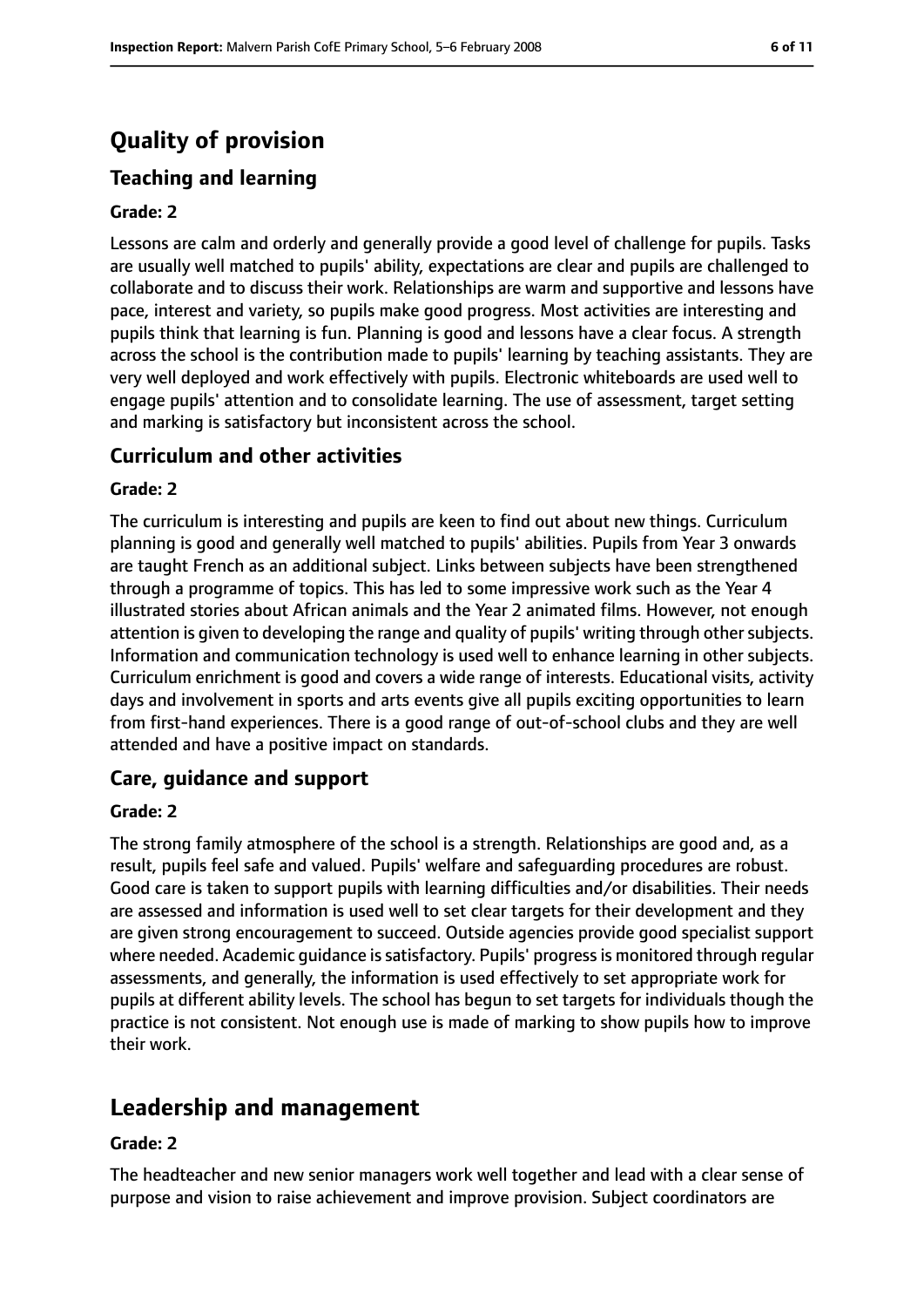# **Quality of provision**

# **Teaching and learning**

#### **Grade: 2**

Lessons are calm and orderly and generally provide a good level of challenge for pupils. Tasks are usually well matched to pupils' ability, expectations are clear and pupils are challenged to collaborate and to discuss their work. Relationships are warm and supportive and lessons have pace, interest and variety, so pupils make good progress. Most activities are interesting and pupils think that learning is fun. Planning is good and lessons have a clear focus. A strength across the school is the contribution made to pupils' learning by teaching assistants. They are very well deployed and work effectively with pupils. Electronic whiteboards are used well to engage pupils' attention and to consolidate learning. The use of assessment, target setting and marking is satisfactory but inconsistent across the school.

## **Curriculum and other activities**

#### **Grade: 2**

The curriculum is interesting and pupils are keen to find out about new things. Curriculum planning is good and generally well matched to pupils' abilities. Pupils from Year 3 onwards are taught French as an additional subject. Links between subjects have been strengthened through a programme of topics. This has led to some impressive work such as the Year 4 illustrated stories about African animals and the Year 2 animated films. However, not enough attention is given to developing the range and quality of pupils' writing through other subjects. Information and communication technology is used well to enhance learning in other subjects. Curriculum enrichment is good and covers a wide range of interests. Educational visits, activity days and involvement in sports and arts events give all pupils exciting opportunities to learn from first-hand experiences. There is a good range of out-of-school clubs and they are well attended and have a positive impact on standards.

## **Care, guidance and support**

#### **Grade: 2**

The strong family atmosphere of the school is a strength. Relationships are good and, as a result, pupils feel safe and valued. Pupils' welfare and safeguarding procedures are robust. Good care is taken to support pupils with learning difficulties and/or disabilities. Their needs are assessed and information is used well to set clear targets for their development and they are given strong encouragement to succeed. Outside agencies provide good specialist support where needed. Academic quidance is satisfactory. Pupils' progress is monitored through regular assessments, and generally, the information is used effectively to set appropriate work for pupils at different ability levels. The school has begun to set targets for individuals though the practice is not consistent. Not enough use is made of marking to show pupils how to improve their work.

# **Leadership and management**

#### **Grade: 2**

The headteacher and new senior managers work well together and lead with a clear sense of purpose and vision to raise achievement and improve provision. Subject coordinators are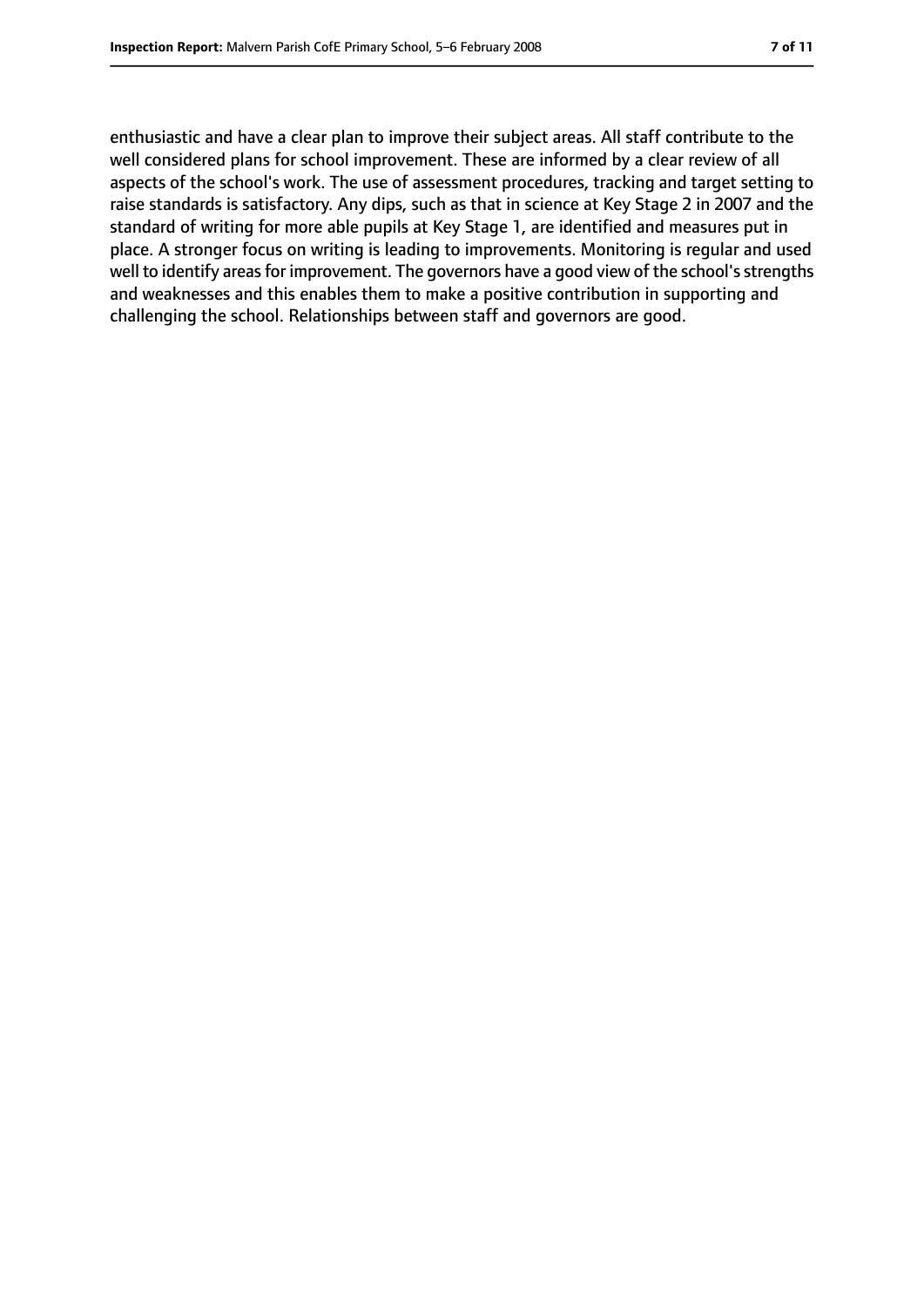enthusiastic and have a clear plan to improve their subject areas. All staff contribute to the well considered plans for school improvement. These are informed by a clear review of all aspects of the school's work. The use of assessment procedures, tracking and target setting to raise standards is satisfactory. Any dips, such as that in science at Key Stage 2 in 2007 and the standard of writing for more able pupils at Key Stage 1, are identified and measures put in place. A stronger focus on writing is leading to improvements. Monitoring is regular and used well to identify areas for improvement. The governors have a good view of the school's strengths and weaknesses and this enables them to make a positive contribution in supporting and challenging the school. Relationships between staff and governors are good.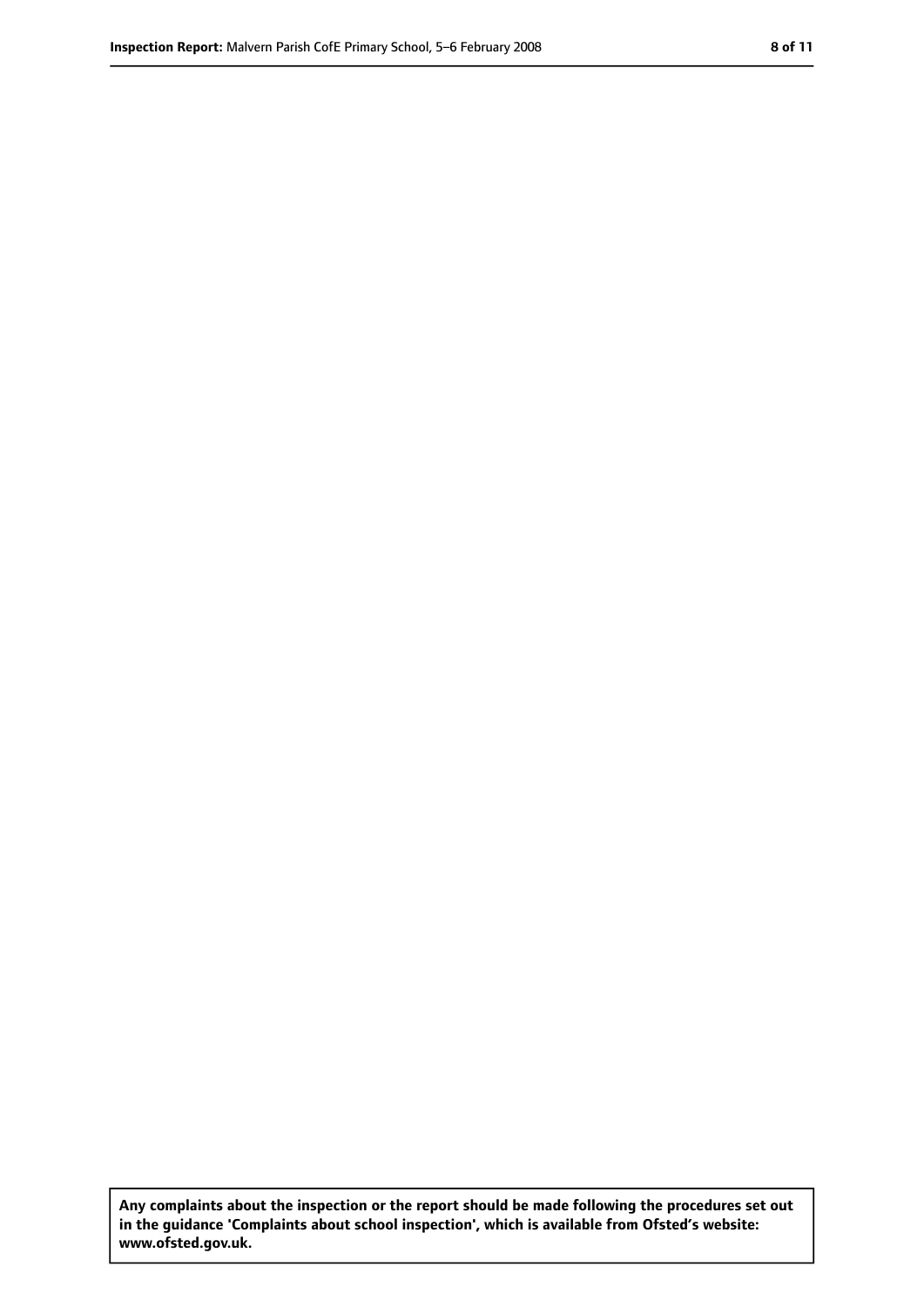**Any complaints about the inspection or the report should be made following the procedures set out in the guidance 'Complaints about school inspection', which is available from Ofsted's website: www.ofsted.gov.uk.**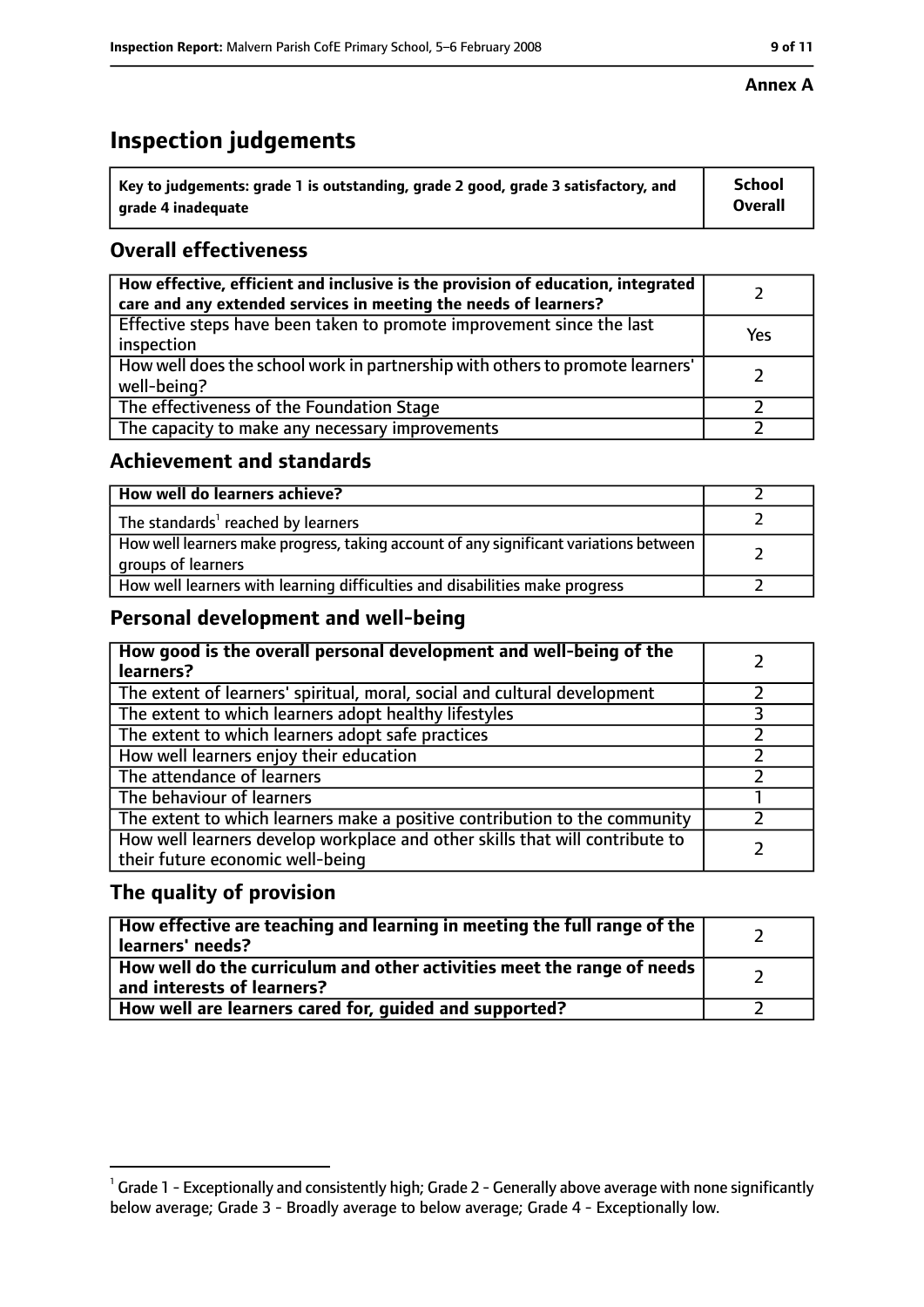# **Inspection judgements**

| $\dot{~}$ Key to judgements: grade 1 is outstanding, grade 2 good, grade 3 satisfactory, and | <b>School</b>  |
|----------------------------------------------------------------------------------------------|----------------|
| arade 4 inadequate                                                                           | <b>Overall</b> |

# **Overall effectiveness**

| How effective, efficient and inclusive is the provision of education, integrated<br>care and any extended services in meeting the needs of learners? |     |
|------------------------------------------------------------------------------------------------------------------------------------------------------|-----|
| Effective steps have been taken to promote improvement since the last<br>inspection                                                                  | Yes |
| How well does the school work in partnership with others to promote learners'<br>well-being?                                                         |     |
| The effectiveness of the Foundation Stage                                                                                                            |     |
| The capacity to make any necessary improvements                                                                                                      |     |

## **Achievement and standards**

| How well do learners achieve?                                                                               |  |
|-------------------------------------------------------------------------------------------------------------|--|
| The standards <sup>1</sup> reached by learners                                                              |  |
| How well learners make progress, taking account of any significant variations between<br>groups of learners |  |
| How well learners with learning difficulties and disabilities make progress                                 |  |

# **Personal development and well-being**

| How good is the overall personal development and well-being of the<br>learners?                                  |  |
|------------------------------------------------------------------------------------------------------------------|--|
| The extent of learners' spiritual, moral, social and cultural development                                        |  |
| The extent to which learners adopt healthy lifestyles                                                            |  |
| The extent to which learners adopt safe practices                                                                |  |
| How well learners enjoy their education                                                                          |  |
| The attendance of learners                                                                                       |  |
| The behaviour of learners                                                                                        |  |
| The extent to which learners make a positive contribution to the community                                       |  |
| How well learners develop workplace and other skills that will contribute to<br>their future economic well-being |  |

# **The quality of provision**

| How effective are teaching and learning in meeting the full range of the<br>learners' needs?          |  |
|-------------------------------------------------------------------------------------------------------|--|
| How well do the curriculum and other activities meet the range of needs<br>and interests of learners? |  |
| How well are learners cared for, guided and supported?                                                |  |

#### **Annex A**

 $^1$  Grade 1 - Exceptionally and consistently high; Grade 2 - Generally above average with none significantly below average; Grade 3 - Broadly average to below average; Grade 4 - Exceptionally low.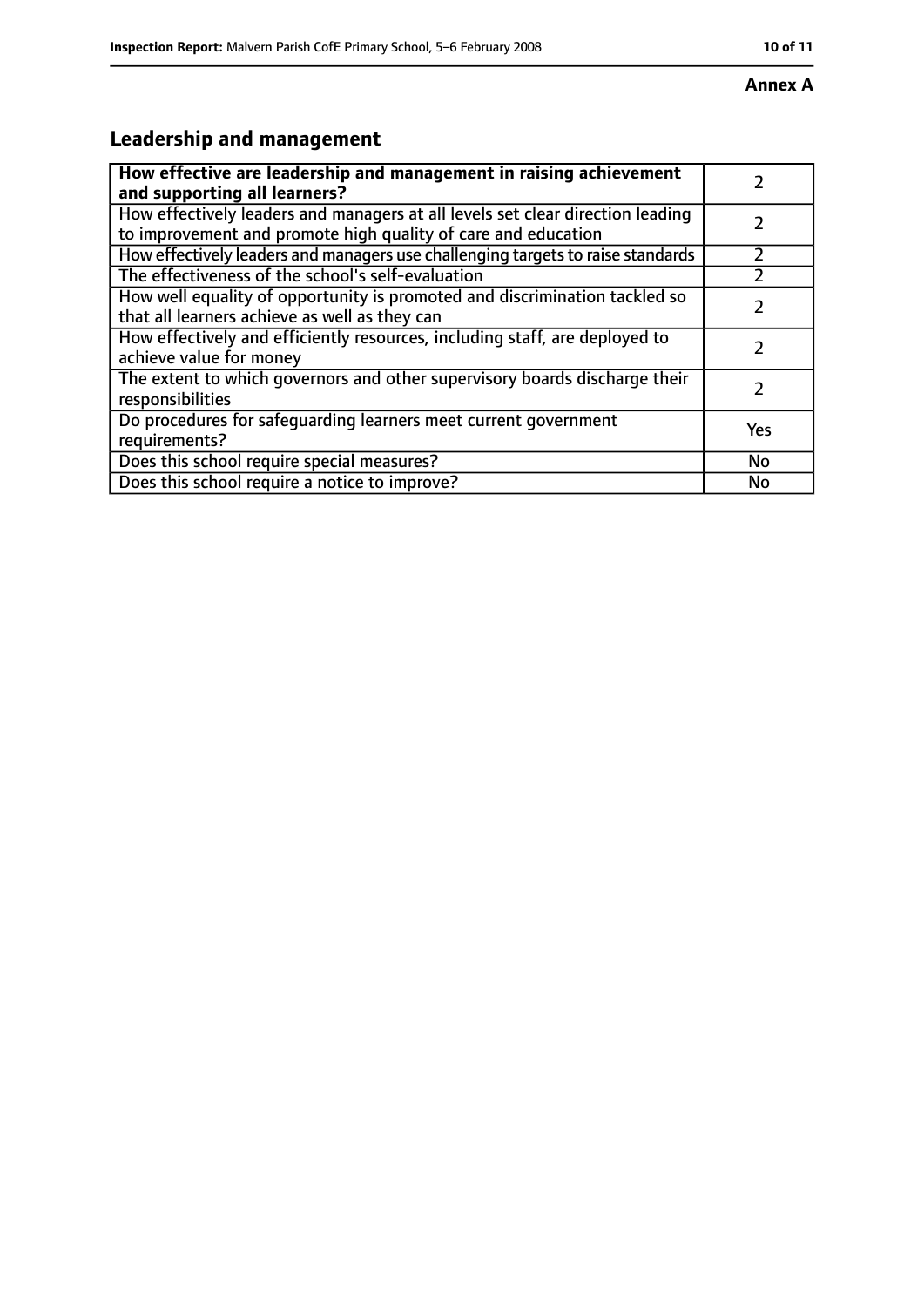#### **Annex A**

# **Leadership and management**

| How effective are leadership and management in raising achievement<br>and supporting all learners?                                              |     |
|-------------------------------------------------------------------------------------------------------------------------------------------------|-----|
| How effectively leaders and managers at all levels set clear direction leading<br>to improvement and promote high quality of care and education |     |
| How effectively leaders and managers use challenging targets to raise standards                                                                 |     |
| The effectiveness of the school's self-evaluation                                                                                               |     |
| How well equality of opportunity is promoted and discrimination tackled so<br>that all learners achieve as well as they can                     |     |
| How effectively and efficiently resources, including staff, are deployed to<br>achieve value for money                                          | 7   |
| The extent to which governors and other supervisory boards discharge their<br>responsibilities                                                  | 7   |
| Do procedures for safequarding learners meet current government<br>requirements?                                                                | Yes |
| Does this school require special measures?                                                                                                      | No  |
| Does this school require a notice to improve?                                                                                                   | No  |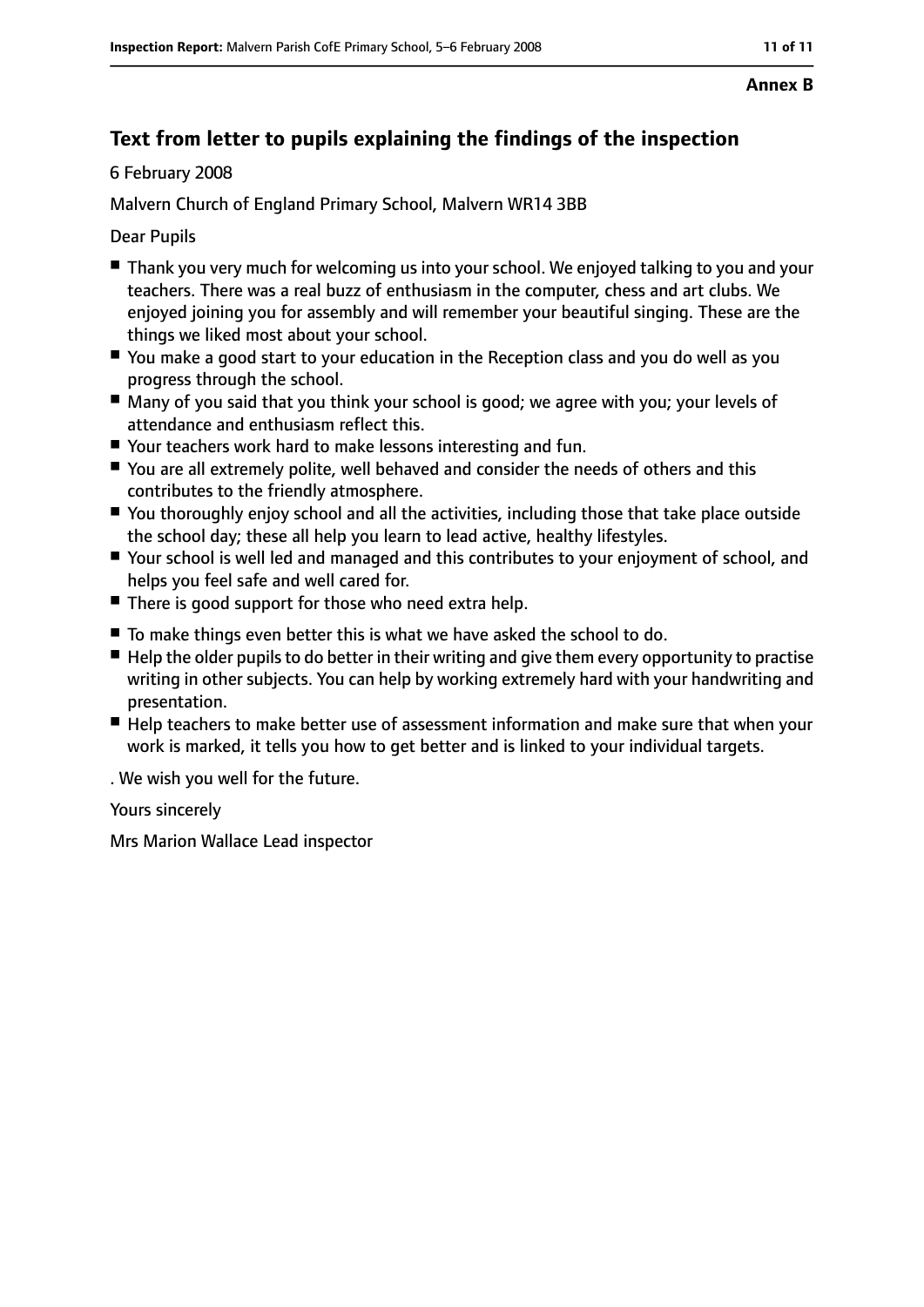#### **Annex B**

# **Text from letter to pupils explaining the findings of the inspection**

#### 6 February 2008

Malvern Church of England Primary School, Malvern WR14 3BB

Dear Pupils

- Thank you very much for welcoming us into your school. We enjoyed talking to you and your teachers. There was a real buzz of enthusiasm in the computer, chess and art clubs. We enjoyed joining you for assembly and will remember your beautiful singing. These are the things we liked most about your school.
- You make a good start to your education in the Reception class and you do well as you progress through the school.
- Many of you said that you think your school is good; we agree with you; your levels of attendance and enthusiasm reflect this.
- Your teachers work hard to make lessons interesting and fun.
- You are all extremely polite, well behaved and consider the needs of others and this contributes to the friendly atmosphere.
- You thoroughly enjoy school and all the activities, including those that take place outside the school day; these all help you learn to lead active, healthy lifestyles.
- Your school is well led and managed and this contributes to your enjoyment of school, and helps you feel safe and well cared for.
- There is good support for those who need extra help.
- To make things even better this is what we have asked the school to do.
- Help the older pupils to do better in their writing and give them every opportunity to practise writing in other subjects. You can help by working extremely hard with your handwriting and presentation.
- Help teachers to make better use of assessment information and make sure that when your work is marked, it tells you how to get better and is linked to your individual targets.
- . We wish you well for the future.

Yours sincerely

Mrs Marion Wallace Lead inspector